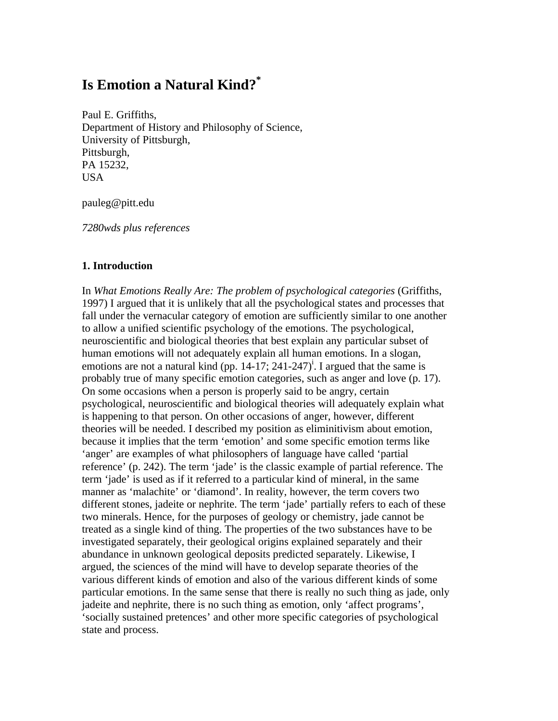# **Is Emotion a Natural Kind?\***

Paul E. Griffiths, Department of History and Philosophy of Science, University of Pittsburgh, Pittsburgh, PA 15232, **USA** 

pauleg@pitt.edu

*7280wds plus references*

#### **1. Introduction**

In *What Emotions Really Are: The problem of psychological categories* (Griffiths, 1997) I argued that it is unlikely that all the psychological states and processes that fall under the vernacular category of emotion are sufficiently similar to one another to allow a unified scientific psychology of the emotions. The psychological, neuroscientific and biological theories that best explain any particular subset of human emotions will not adequately explain all human emotions. In a slogan, emotions are not a natural kind (pp.  $14-17$ ;  $241-247$ )<sup>i</sup>. I argued that the same is probably true of many specific emotion categories, such as anger and love (p. 17). On some occasions when a person is properly said to be angry, certain psychological, neuroscientific and biological theories will adequately explain what is happening to that person. On other occasions of anger, however, different theories will be needed. I described my position as eliminitivism about emotion, because it implies that the term 'emotion' and some specific emotion terms like 'anger' are examples of what philosophers of language have called 'partial reference' (p. 242). The term 'jade' is the classic example of partial reference. The term 'jade' is used as if it referred to a particular kind of mineral, in the same manner as 'malachite' or 'diamond'. In reality, however, the term covers two different stones, jadeite or nephrite. The term 'jade' partially refers to each of these two minerals. Hence, for the purposes of geology or chemistry, jade cannot be treated as a single kind of thing. The properties of the two substances have to be investigated separately, their geological origins explained separately and their abundance in unknown geological deposits predicted separately. Likewise, I argued, the sciences of the mind will have to develop separate theories of the various different kinds of emotion and also of the various different kinds of some particular emotions. In the same sense that there is really no such thing as jade, only jadeite and nephrite, there is no such thing as emotion, only 'affect programs', 'socially sustained pretences' and other more specific categories of psychological state and process.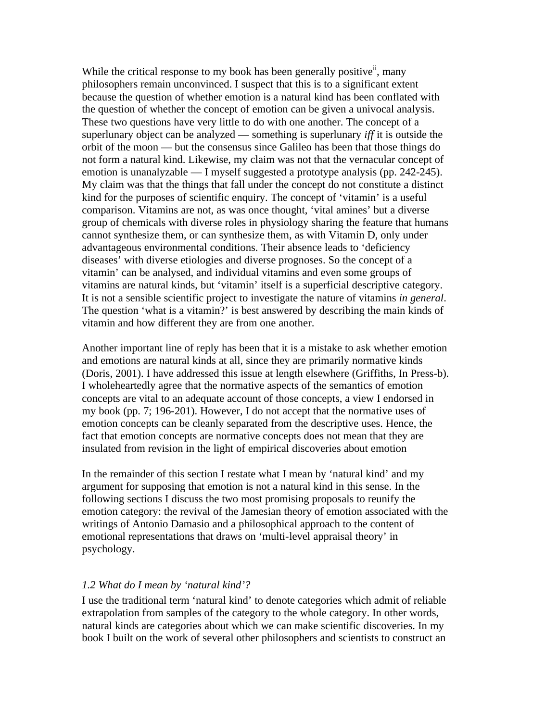While the critical response to my book has been generally positive<sup>ii</sup>, many philosophers remain unconvinced. I suspect that this is to a significant extent because the question of whether emotion is a natural kind has been conflated with the question of whether the concept of emotion can be given a univocal analysis. These two questions have very little to do with one another. The concept of a superlunary object can be analyzed — something is superlunary *iff* it is outside the orbit of the moon — but the consensus since Galileo has been that those things do not form a natural kind. Likewise, my claim was not that the vernacular concept of emotion is unanalyzable — I myself suggested a prototype analysis (pp. 242-245). My claim was that the things that fall under the concept do not constitute a distinct kind for the purposes of scientific enquiry. The concept of 'vitamin' is a useful comparison. Vitamins are not, as was once thought, 'vital amines' but a diverse group of chemicals with diverse roles in physiology sharing the feature that humans cannot synthesize them, or can synthesize them, as with Vitamin D, only under advantageous environmental conditions. Their absence leads to 'deficiency diseases' with diverse etiologies and diverse prognoses. So the concept of a vitamin' can be analysed, and individual vitamins and even some groups of vitamins are natural kinds, but 'vitamin' itself is a superficial descriptive category. It is not a sensible scientific project to investigate the nature of vitamins *in general*. The question 'what is a vitamin?' is best answered by describing the main kinds of vitamin and how different they are from one another.

Another important line of reply has been that it is a mistake to ask whether emotion and emotions are natural kinds at all, since they are primarily normative kinds (Doris, 2001). I have addressed this issue at length elsewhere (Griffiths, In Press-b). I wholeheartedly agree that the normative aspects of the semantics of emotion concepts are vital to an adequate account of those concepts, a view I endorsed in my book (pp. 7; 196-201). However, I do not accept that the normative uses of emotion concepts can be cleanly separated from the descriptive uses. Hence, the fact that emotion concepts are normative concepts does not mean that they are insulated from revision in the light of empirical discoveries about emotion

In the remainder of this section I restate what I mean by 'natural kind' and my argument for supposing that emotion is not a natural kind in this sense. In the following sections I discuss the two most promising proposals to reunify the emotion category: the revival of the Jamesian theory of emotion associated with the writings of Antonio Damasio and a philosophical approach to the content of emotional representations that draws on 'multi-level appraisal theory' in psychology.

## *1.2 What do I mean by 'natural kind'?*

I use the traditional term 'natural kind' to denote categories which admit of reliable extrapolation from samples of the category to the whole category. In other words, natural kinds are categories about which we can make scientific discoveries. In my book I built on the work of several other philosophers and scientists to construct an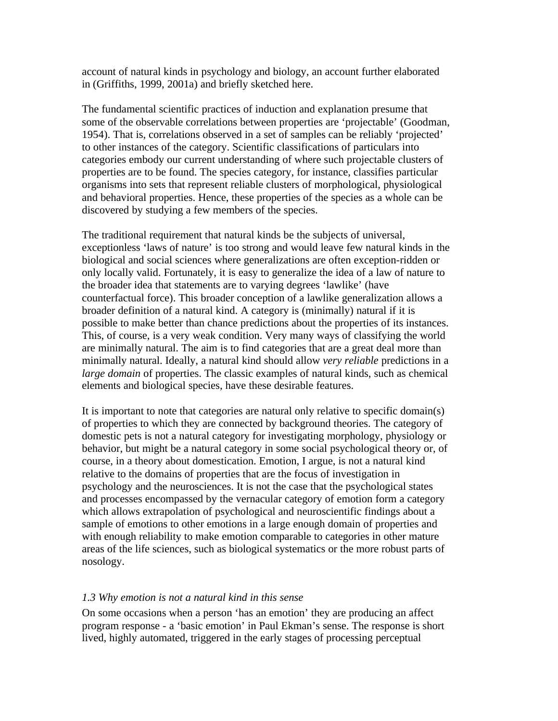account of natural kinds in psychology and biology, an account further elaborated in (Griffiths, 1999, 2001a) and briefly sketched here.

The fundamental scientific practices of induction and explanation presume that some of the observable correlations between properties are 'projectable' (Goodman, 1954). That is, correlations observed in a set of samples can be reliably 'projected' to other instances of the category. Scientific classifications of particulars into categories embody our current understanding of where such projectable clusters of properties are to be found. The species category, for instance, classifies particular organisms into sets that represent reliable clusters of morphological, physiological and behavioral properties. Hence, these properties of the species as a whole can be discovered by studying a few members of the species.

The traditional requirement that natural kinds be the subjects of universal, exceptionless 'laws of nature' is too strong and would leave few natural kinds in the biological and social sciences where generalizations are often exception-ridden or only locally valid. Fortunately, it is easy to generalize the idea of a law of nature to the broader idea that statements are to varying degrees 'lawlike' (have counterfactual force). This broader conception of a lawlike generalization allows a broader definition of a natural kind. A category is (minimally) natural if it is possible to make better than chance predictions about the properties of its instances. This, of course, is a very weak condition. Very many ways of classifying the world are minimally natural. The aim is to find categories that are a great deal more than minimally natural. Ideally, a natural kind should allow *very reliable* predictions in a *large domain* of properties. The classic examples of natural kinds, such as chemical elements and biological species, have these desirable features.

It is important to note that categories are natural only relative to specific domain(s) of properties to which they are connected by background theories. The category of domestic pets is not a natural category for investigating morphology, physiology or behavior, but might be a natural category in some social psychological theory or, of course, in a theory about domestication. Emotion, I argue, is not a natural kind relative to the domains of properties that are the focus of investigation in psychology and the neurosciences. It is not the case that the psychological states and processes encompassed by the vernacular category of emotion form a category which allows extrapolation of psychological and neuroscientific findings about a sample of emotions to other emotions in a large enough domain of properties and with enough reliability to make emotion comparable to categories in other mature areas of the life sciences, such as biological systematics or the more robust parts of nosology.

## *1.3 Why emotion is not a natural kind in this sense*

On some occasions when a person 'has an emotion' they are producing an affect program response - a 'basic emotion' in Paul Ekman's sense. The response is short lived, highly automated, triggered in the early stages of processing perceptual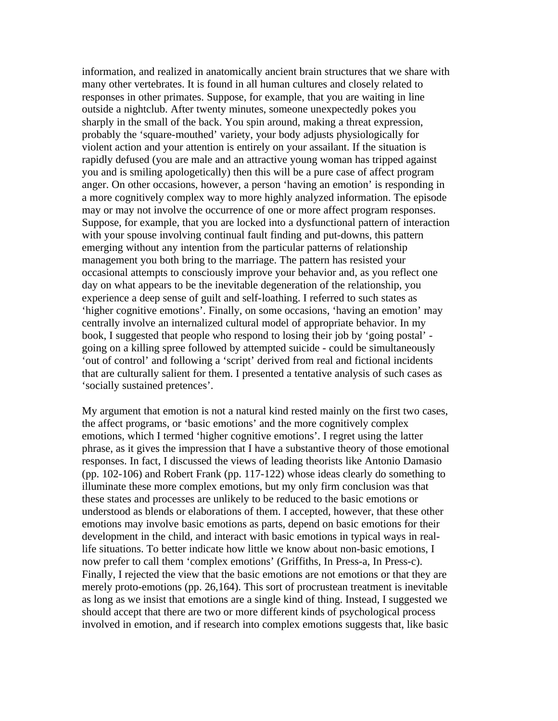information, and realized in anatomically ancient brain structures that we share with many other vertebrates. It is found in all human cultures and closely related to responses in other primates. Suppose, for example, that you are waiting in line outside a nightclub. After twenty minutes, someone unexpectedly pokes you sharply in the small of the back. You spin around, making a threat expression, probably the 'square-mouthed' variety, your body adjusts physiologically for violent action and your attention is entirely on your assailant. If the situation is rapidly defused (you are male and an attractive young woman has tripped against you and is smiling apologetically) then this will be a pure case of affect program anger. On other occasions, however, a person 'having an emotion' is responding in a more cognitively complex way to more highly analyzed information. The episode may or may not involve the occurrence of one or more affect program responses. Suppose, for example, that you are locked into a dysfunctional pattern of interaction with your spouse involving continual fault finding and put-downs, this pattern emerging without any intention from the particular patterns of relationship management you both bring to the marriage. The pattern has resisted your occasional attempts to consciously improve your behavior and, as you reflect one day on what appears to be the inevitable degeneration of the relationship, you experience a deep sense of guilt and self-loathing. I referred to such states as 'higher cognitive emotions'. Finally, on some occasions, 'having an emotion' may centrally involve an internalized cultural model of appropriate behavior. In my book, I suggested that people who respond to losing their job by 'going postal' going on a killing spree followed by attempted suicide - could be simultaneously 'out of control' and following a 'script' derived from real and fictional incidents that are culturally salient for them. I presented a tentative analysis of such cases as 'socially sustained pretences'.

My argument that emotion is not a natural kind rested mainly on the first two cases, the affect programs, or 'basic emotions' and the more cognitively complex emotions, which I termed 'higher cognitive emotions'. I regret using the latter phrase, as it gives the impression that I have a substantive theory of those emotional responses. In fact, I discussed the views of leading theorists like Antonio Damasio (pp. 102-106) and Robert Frank (pp. 117-122) whose ideas clearly do something to illuminate these more complex emotions, but my only firm conclusion was that these states and processes are unlikely to be reduced to the basic emotions or understood as blends or elaborations of them. I accepted, however, that these other emotions may involve basic emotions as parts, depend on basic emotions for their development in the child, and interact with basic emotions in typical ways in reallife situations. To better indicate how little we know about non-basic emotions, I now prefer to call them 'complex emotions' (Griffiths, In Press-a, In Press-c). Finally, I rejected the view that the basic emotions are not emotions or that they are merely proto-emotions (pp. 26,164). This sort of procrustean treatment is inevitable as long as we insist that emotions are a single kind of thing. Instead, I suggested we should accept that there are two or more different kinds of psychological process involved in emotion, and if research into complex emotions suggests that, like basic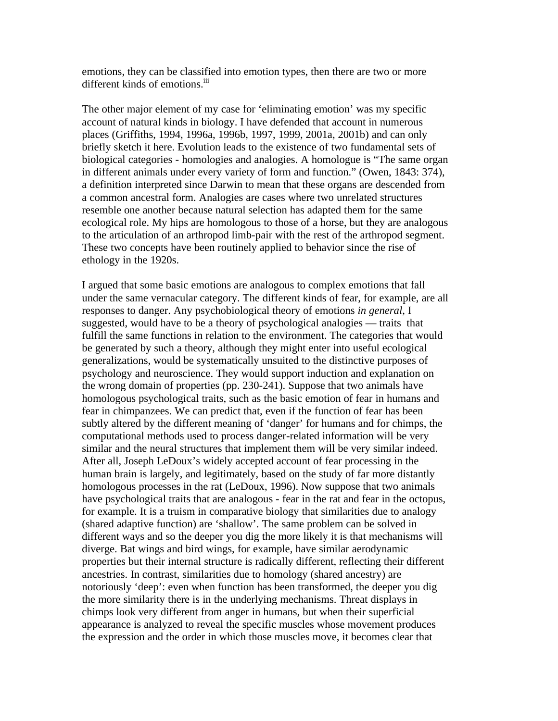emotions, they can be classified into emotion types, then there are two or more different kinds of emotions.<sup>iii</sup>

The other major element of my case for 'eliminating emotion' was my specific account of natural kinds in biology. I have defended that account in numerous places (Griffiths, 1994, 1996a, 1996b, 1997, 1999, 2001a, 2001b) and can only briefly sketch it here. Evolution leads to the existence of two fundamental sets of biological categories - homologies and analogies. A homologue is "The same organ in different animals under every variety of form and function." (Owen, 1843: 374), a definition interpreted since Darwin to mean that these organs are descended from a common ancestral form. Analogies are cases where two unrelated structures resemble one another because natural selection has adapted them for the same ecological role. My hips are homologous to those of a horse, but they are analogous to the articulation of an arthropod limb-pair with the rest of the arthropod segment. These two concepts have been routinely applied to behavior since the rise of ethology in the 1920s.

I argued that some basic emotions are analogous to complex emotions that fall under the same vernacular category. The different kinds of fear, for example, are all responses to danger. Any psychobiological theory of emotions *in general*, I suggested, would have to be a theory of psychological analogies — traits that fulfill the same functions in relation to the environment. The categories that would be generated by such a theory, although they might enter into useful ecological generalizations, would be systematically unsuited to the distinctive purposes of psychology and neuroscience. They would support induction and explanation on the wrong domain of properties (pp. 230-241). Suppose that two animals have homologous psychological traits, such as the basic emotion of fear in humans and fear in chimpanzees. We can predict that, even if the function of fear has been subtly altered by the different meaning of 'danger' for humans and for chimps, the computational methods used to process danger-related information will be very similar and the neural structures that implement them will be very similar indeed. After all, Joseph LeDoux's widely accepted account of fear processing in the human brain is largely, and legitimately, based on the study of far more distantly homologous processes in the rat (LeDoux, 1996). Now suppose that two animals have psychological traits that are analogous - fear in the rat and fear in the octopus, for example. It is a truism in comparative biology that similarities due to analogy (shared adaptive function) are 'shallow'. The same problem can be solved in different ways and so the deeper you dig the more likely it is that mechanisms will diverge. Bat wings and bird wings, for example, have similar aerodynamic properties but their internal structure is radically different, reflecting their different ancestries. In contrast, similarities due to homology (shared ancestry) are notoriously 'deep': even when function has been transformed, the deeper you dig the more similarity there is in the underlying mechanisms. Threat displays in chimps look very different from anger in humans, but when their superficial appearance is analyzed to reveal the specific muscles whose movement produces the expression and the order in which those muscles move, it becomes clear that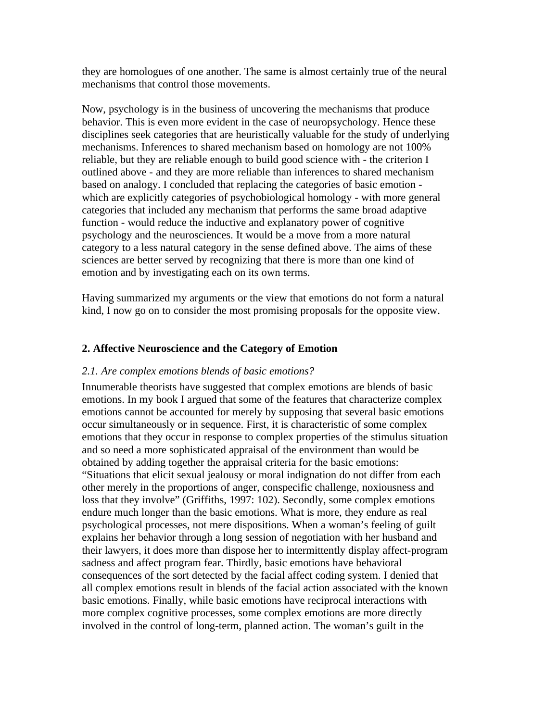they are homologues of one another. The same is almost certainly true of the neural mechanisms that control those movements.

Now, psychology is in the business of uncovering the mechanisms that produce behavior. This is even more evident in the case of neuropsychology. Hence these disciplines seek categories that are heuristically valuable for the study of underlying mechanisms. Inferences to shared mechanism based on homology are not 100% reliable, but they are reliable enough to build good science with - the criterion I outlined above - and they are more reliable than inferences to shared mechanism based on analogy. I concluded that replacing the categories of basic emotion which are explicitly categories of psychobiological homology - with more general categories that included any mechanism that performs the same broad adaptive function - would reduce the inductive and explanatory power of cognitive psychology and the neurosciences. It would be a move from a more natural category to a less natural category in the sense defined above. The aims of these sciences are better served by recognizing that there is more than one kind of emotion and by investigating each on its own terms.

Having summarized my arguments or the view that emotions do not form a natural kind, I now go on to consider the most promising proposals for the opposite view.

## **2. Affective Neuroscience and the Category of Emotion**

## *2.1. Are complex emotions blends of basic emotions?*

Innumerable theorists have suggested that complex emotions are blends of basic emotions. In my book I argued that some of the features that characterize complex emotions cannot be accounted for merely by supposing that several basic emotions occur simultaneously or in sequence. First, it is characteristic of some complex emotions that they occur in response to complex properties of the stimulus situation and so need a more sophisticated appraisal of the environment than would be obtained by adding together the appraisal criteria for the basic emotions: "Situations that elicit sexual jealousy or moral indignation do not differ from each other merely in the proportions of anger, conspecific challenge, noxiousness and loss that they involve" (Griffiths, 1997: 102). Secondly, some complex emotions endure much longer than the basic emotions. What is more, they endure as real psychological processes, not mere dispositions. When a woman's feeling of guilt explains her behavior through a long session of negotiation with her husband and their lawyers, it does more than dispose her to intermittently display affect-program sadness and affect program fear. Thirdly, basic emotions have behavioral consequences of the sort detected by the facial affect coding system. I denied that all complex emotions result in blends of the facial action associated with the known basic emotions. Finally, while basic emotions have reciprocal interactions with more complex cognitive processes, some complex emotions are more directly involved in the control of long-term, planned action. The woman's guilt in the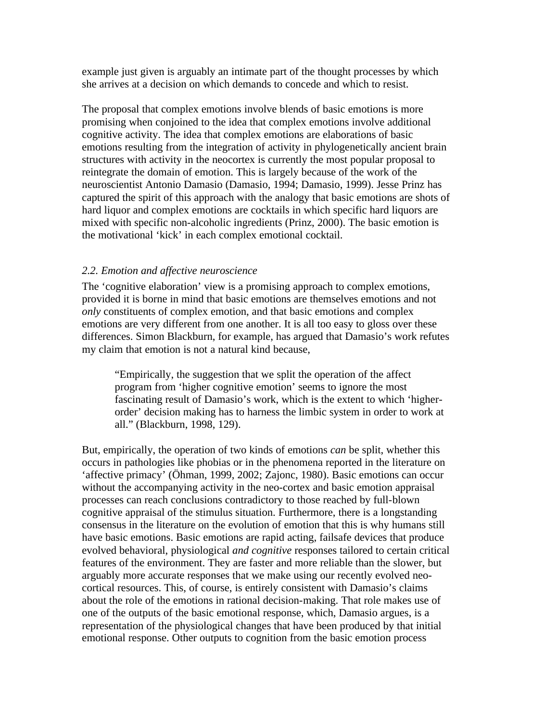example just given is arguably an intimate part of the thought processes by which she arrives at a decision on which demands to concede and which to resist.

The proposal that complex emotions involve blends of basic emotions is more promising when conjoined to the idea that complex emotions involve additional cognitive activity. The idea that complex emotions are elaborations of basic emotions resulting from the integration of activity in phylogenetically ancient brain structures with activity in the neocortex is currently the most popular proposal to reintegrate the domain of emotion. This is largely because of the work of the neuroscientist Antonio Damasio (Damasio, 1994; Damasio, 1999). Jesse Prinz has captured the spirit of this approach with the analogy that basic emotions are shots of hard liquor and complex emotions are cocktails in which specific hard liquors are mixed with specific non-alcoholic ingredients (Prinz, 2000). The basic emotion is the motivational 'kick' in each complex emotional cocktail.

#### *2.2. Emotion and affective neuroscience*

The 'cognitive elaboration' view is a promising approach to complex emotions, provided it is borne in mind that basic emotions are themselves emotions and not *only* constituents of complex emotion, and that basic emotions and complex emotions are very different from one another. It is all too easy to gloss over these differences. Simon Blackburn, for example, has argued that Damasio's work refutes my claim that emotion is not a natural kind because,

"Empirically, the suggestion that we split the operation of the affect program from 'higher cognitive emotion' seems to ignore the most fascinating result of Damasio's work, which is the extent to which 'higherorder' decision making has to harness the limbic system in order to work at all." (Blackburn, 1998, 129).

But, empirically, the operation of two kinds of emotions *can* be split, whether this occurs in pathologies like phobias or in the phenomena reported in the literature on 'affective primacy' (Öhman, 1999, 2002; Zajonc, 1980). Basic emotions can occur without the accompanying activity in the neo-cortex and basic emotion appraisal processes can reach conclusions contradictory to those reached by full-blown cognitive appraisal of the stimulus situation. Furthermore, there is a longstanding consensus in the literature on the evolution of emotion that this is why humans still have basic emotions. Basic emotions are rapid acting, failsafe devices that produce evolved behavioral, physiological *and cognitive* responses tailored to certain critical features of the environment. They are faster and more reliable than the slower, but arguably more accurate responses that we make using our recently evolved neocortical resources. This, of course, is entirely consistent with Damasio's claims about the role of the emotions in rational decision-making. That role makes use of one of the outputs of the basic emotional response, which, Damasio argues, is a representation of the physiological changes that have been produced by that initial emotional response. Other outputs to cognition from the basic emotion process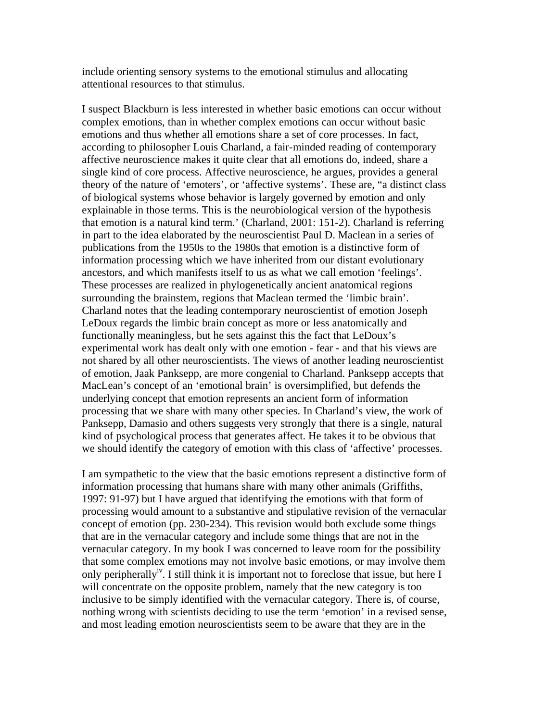include orienting sensory systems to the emotional stimulus and allocating attentional resources to that stimulus.

I suspect Blackburn is less interested in whether basic emotions can occur without complex emotions, than in whether complex emotions can occur without basic emotions and thus whether all emotions share a set of core processes. In fact, according to philosopher Louis Charland, a fair-minded reading of contemporary affective neuroscience makes it quite clear that all emotions do, indeed, share a single kind of core process. Affective neuroscience, he argues, provides a general theory of the nature of 'emoters', or 'affective systems'. These are, "a distinct class of biological systems whose behavior is largely governed by emotion and only explainable in those terms. This is the neurobiological version of the hypothesis that emotion is a natural kind term.' (Charland, 2001: 151-2). Charland is referring in part to the idea elaborated by the neuroscientist Paul D. Maclean in a series of publications from the 1950s to the 1980s that emotion is a distinctive form of information processing which we have inherited from our distant evolutionary ancestors, and which manifests itself to us as what we call emotion 'feelings'. These processes are realized in phylogenetically ancient anatomical regions surrounding the brainstem, regions that Maclean termed the 'limbic brain'. Charland notes that the leading contemporary neuroscientist of emotion Joseph LeDoux regards the limbic brain concept as more or less anatomically and functionally meaningless, but he sets against this the fact that LeDoux's experimental work has dealt only with one emotion - fear - and that his views are not shared by all other neuroscientists. The views of another leading neuroscientist of emotion, Jaak Panksepp, are more congenial to Charland. Panksepp accepts that MacLean's concept of an 'emotional brain' is oversimplified, but defends the underlying concept that emotion represents an ancient form of information processing that we share with many other species. In Charland's view, the work of Panksepp, Damasio and others suggests very strongly that there is a single, natural kind of psychological process that generates affect. He takes it to be obvious that we should identify the category of emotion with this class of 'affective' processes.

I am sympathetic to the view that the basic emotions represent a distinctive form of information processing that humans share with many other animals (Griffiths, 1997: 91-97) but I have argued that identifying the emotions with that form of processing would amount to a substantive and stipulative revision of the vernacular concept of emotion (pp. 230-234). This revision would both exclude some things that are in the vernacular category and include some things that are not in the vernacular category. In my book I was concerned to leave room for the possibility that some complex emotions may not involve basic emotions, or may involve them only peripherally<sup>iv</sup>. I still think it is important not to foreclose that issue, but here I will concentrate on the opposite problem, namely that the new category is too inclusive to be simply identified with the vernacular category. There is, of course, nothing wrong with scientists deciding to use the term 'emotion' in a revised sense, and most leading emotion neuroscientists seem to be aware that they are in the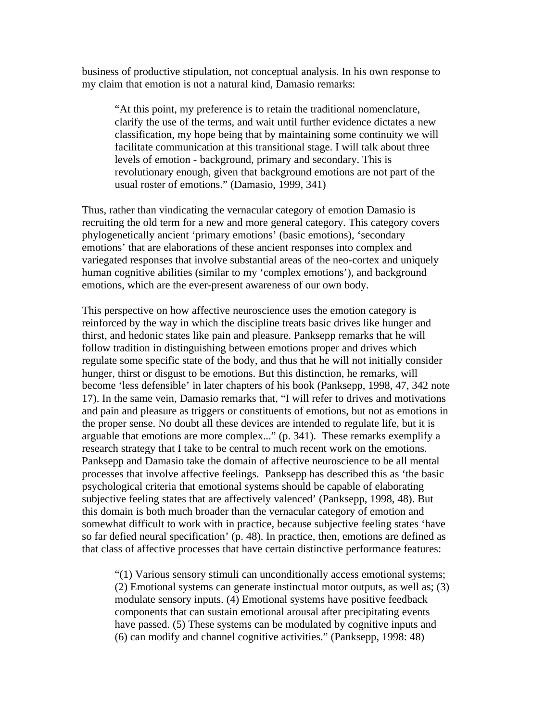business of productive stipulation, not conceptual analysis. In his own response to my claim that emotion is not a natural kind, Damasio remarks:

"At this point, my preference is to retain the traditional nomenclature, clarify the use of the terms, and wait until further evidence dictates a new classification, my hope being that by maintaining some continuity we will facilitate communication at this transitional stage. I will talk about three levels of emotion - background, primary and secondary. This is revolutionary enough, given that background emotions are not part of the usual roster of emotions." (Damasio, 1999, 341)

Thus, rather than vindicating the vernacular category of emotion Damasio is recruiting the old term for a new and more general category. This category covers phylogenetically ancient 'primary emotions' (basic emotions), 'secondary emotions' that are elaborations of these ancient responses into complex and variegated responses that involve substantial areas of the neo-cortex and uniquely human cognitive abilities (similar to my 'complex emotions'), and background emotions, which are the ever-present awareness of our own body.

This perspective on how affective neuroscience uses the emotion category is reinforced by the way in which the discipline treats basic drives like hunger and thirst, and hedonic states like pain and pleasure. Panksepp remarks that he will follow tradition in distinguishing between emotions proper and drives which regulate some specific state of the body, and thus that he will not initially consider hunger, thirst or disgust to be emotions. But this distinction, he remarks, will become 'less defensible' in later chapters of his book (Panksepp, 1998, 47, 342 note 17). In the same vein, Damasio remarks that, "I will refer to drives and motivations and pain and pleasure as triggers or constituents of emotions, but not as emotions in the proper sense. No doubt all these devices are intended to regulate life, but it is arguable that emotions are more complex..." (p. 341). These remarks exemplify a research strategy that I take to be central to much recent work on the emotions. Panksepp and Damasio take the domain of affective neuroscience to be all mental processes that involve affective feelings. Panksepp has described this as 'the basic psychological criteria that emotional systems should be capable of elaborating subjective feeling states that are affectively valenced' (Panksepp, 1998, 48). But this domain is both much broader than the vernacular category of emotion and somewhat difficult to work with in practice, because subjective feeling states 'have so far defied neural specification' (p. 48). In practice, then, emotions are defined as that class of affective processes that have certain distinctive performance features:

"(1) Various sensory stimuli can unconditionally access emotional systems; (2) Emotional systems can generate instinctual motor outputs, as well as; (3) modulate sensory inputs. (4) Emotional systems have positive feedback components that can sustain emotional arousal after precipitating events have passed. (5) These systems can be modulated by cognitive inputs and (6) can modify and channel cognitive activities." (Panksepp, 1998: 48)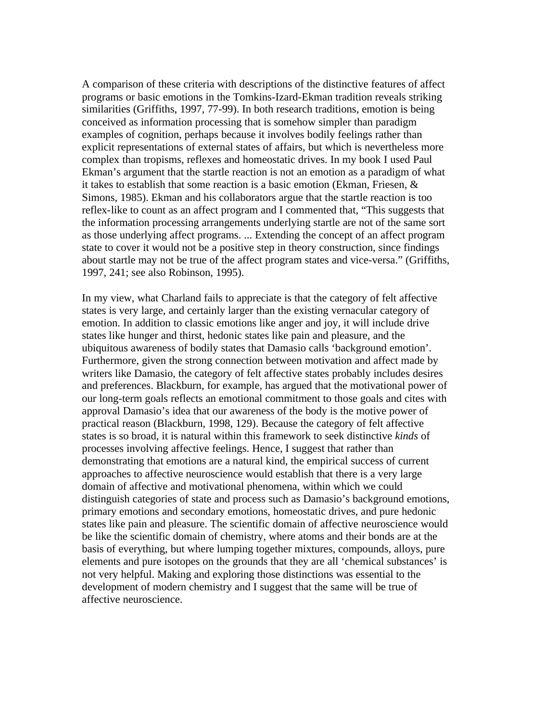A comparison of these criteria with descriptions of the distinctive features of affect programs or basic emotions in the Tomkins-Izard-Ekman tradition reveals striking similarities (Griffiths, 1997, 77-99). In both research traditions, emotion is being conceived as information processing that is somehow simpler than paradigm examples of cognition, perhaps because it involves bodily feelings rather than explicit representations of external states of affairs, but which is nevertheless more complex than tropisms, reflexes and homeostatic drives. In my book I used Paul Ekman's argument that the startle reaction is not an emotion as a paradigm of what it takes to establish that some reaction is a basic emotion (Ekman, Friesen, & Simons, 1985). Ekman and his collaborators argue that the startle reaction is too reflex-like to count as an affect program and I commented that, "This suggests that the information processing arrangements underlying startle are not of the same sort as those underlying affect programs. ... Extending the concept of an affect program state to cover it would not be a positive step in theory construction, since findings about startle may not be true of the affect program states and vice-versa." (Griffiths, 1997, 241; see also Robinson, 1995).

In my view, what Charland fails to appreciate is that the category of felt affective states is very large, and certainly larger than the existing vernacular category of emotion. In addition to classic emotions like anger and joy, it will include drive states like hunger and thirst, hedonic states like pain and pleasure, and the ubiquitous awareness of bodily states that Damasio calls 'background emotion'. Furthermore, given the strong connection between motivation and affect made by writers like Damasio, the category of felt affective states probably includes desires and preferences. Blackburn, for example, has argued that the motivational power of our long-term goals reflects an emotional commitment to those goals and cites with approval Damasio's idea that our awareness of the body is the motive power of practical reason (Blackburn, 1998, 129). Because the category of felt affective states is so broad, it is natural within this framework to seek distinctive *kinds* of processes involving affective feelings. Hence, I suggest that rather than demonstrating that emotions are a natural kind, the empirical success of current approaches to affective neuroscience would establish that there is a very large domain of affective and motivational phenomena, within which we could distinguish categories of state and process such as Damasio's background emotions, primary emotions and secondary emotions, homeostatic drives, and pure hedonic states like pain and pleasure. The scientific domain of affective neuroscience would be like the scientific domain of chemistry, where atoms and their bonds are at the basis of everything, but where lumping together mixtures, compounds, alloys, pure elements and pure isotopes on the grounds that they are all 'chemical substances' is not very helpful. Making and exploring those distinctions was essential to the development of modern chemistry and I suggest that the same will be true of affective neuroscience.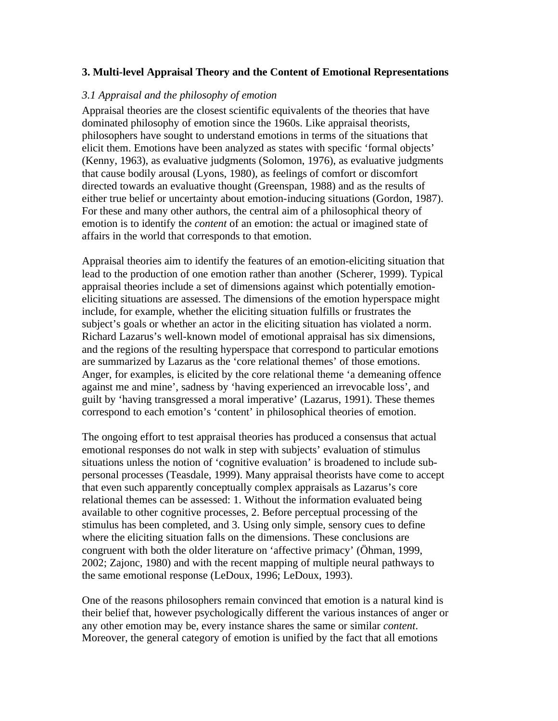## **3. Multi-level Appraisal Theory and the Content of Emotional Representations**

## *3.1 Appraisal and the philosophy of emotion*

Appraisal theories are the closest scientific equivalents of the theories that have dominated philosophy of emotion since the 1960s. Like appraisal theorists, philosophers have sought to understand emotions in terms of the situations that elicit them. Emotions have been analyzed as states with specific 'formal objects' (Kenny, 1963), as evaluative judgments (Solomon, 1976), as evaluative judgments that cause bodily arousal (Lyons, 1980), as feelings of comfort or discomfort directed towards an evaluative thought (Greenspan, 1988) and as the results of either true belief or uncertainty about emotion-inducing situations (Gordon, 1987). For these and many other authors, the central aim of a philosophical theory of emotion is to identify the *content* of an emotion: the actual or imagined state of affairs in the world that corresponds to that emotion.

Appraisal theories aim to identify the features of an emotion-eliciting situation that lead to the production of one emotion rather than another (Scherer, 1999). Typical appraisal theories include a set of dimensions against which potentially emotioneliciting situations are assessed. The dimensions of the emotion hyperspace might include, for example, whether the eliciting situation fulfills or frustrates the subject's goals or whether an actor in the eliciting situation has violated a norm. Richard Lazarus's well-known model of emotional appraisal has six dimensions, and the regions of the resulting hyperspace that correspond to particular emotions are summarized by Lazarus as the 'core relational themes' of those emotions. Anger, for examples, is elicited by the core relational theme 'a demeaning offence against me and mine', sadness by 'having experienced an irrevocable loss', and guilt by 'having transgressed a moral imperative' (Lazarus, 1991). These themes correspond to each emotion's 'content' in philosophical theories of emotion.

The ongoing effort to test appraisal theories has produced a consensus that actual emotional responses do not walk in step with subjects' evaluation of stimulus situations unless the notion of 'cognitive evaluation' is broadened to include subpersonal processes (Teasdale, 1999). Many appraisal theorists have come to accept that even such apparently conceptually complex appraisals as Lazarus's core relational themes can be assessed: 1. Without the information evaluated being available to other cognitive processes, 2. Before perceptual processing of the stimulus has been completed, and 3. Using only simple, sensory cues to define where the eliciting situation falls on the dimensions. These conclusions are congruent with both the older literature on 'affective primacy' (Öhman, 1999, 2002; Zajonc, 1980) and with the recent mapping of multiple neural pathways to the same emotional response (LeDoux, 1996; LeDoux, 1993).

One of the reasons philosophers remain convinced that emotion is a natural kind is their belief that, however psychologically different the various instances of anger or any other emotion may be, every instance shares the same or similar *content*. Moreover, the general category of emotion is unified by the fact that all emotions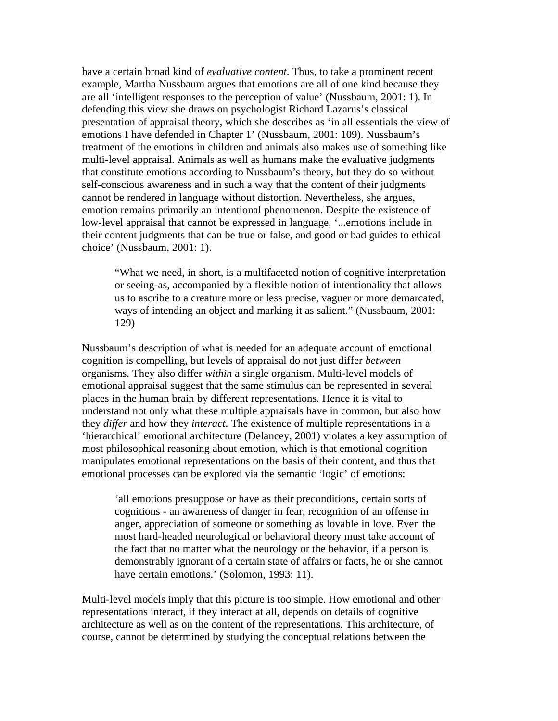have a certain broad kind of *evaluative content*. Thus, to take a prominent recent example, Martha Nussbaum argues that emotions are all of one kind because they are all 'intelligent responses to the perception of value' (Nussbaum, 2001: 1). In defending this view she draws on psychologist Richard Lazarus's classical presentation of appraisal theory, which she describes as 'in all essentials the view of emotions I have defended in Chapter 1' (Nussbaum, 2001: 109). Nussbaum's treatment of the emotions in children and animals also makes use of something like multi-level appraisal. Animals as well as humans make the evaluative judgments that constitute emotions according to Nussbaum's theory, but they do so without self-conscious awareness and in such a way that the content of their judgments cannot be rendered in language without distortion. Nevertheless, she argues, emotion remains primarily an intentional phenomenon. Despite the existence of low-level appraisal that cannot be expressed in language, '...emotions include in their content judgments that can be true or false, and good or bad guides to ethical choice' (Nussbaum, 2001: 1).

"What we need, in short, is a multifaceted notion of cognitive interpretation or seeing-as, accompanied by a flexible notion of intentionality that allows us to ascribe to a creature more or less precise, vaguer or more demarcated, ways of intending an object and marking it as salient." (Nussbaum, 2001: 129)

Nussbaum's description of what is needed for an adequate account of emotional cognition is compelling, but levels of appraisal do not just differ *between* organisms. They also differ *within* a single organism. Multi-level models of emotional appraisal suggest that the same stimulus can be represented in several places in the human brain by different representations. Hence it is vital to understand not only what these multiple appraisals have in common, but also how they *differ* and how they *interact*. The existence of multiple representations in a 'hierarchical' emotional architecture (Delancey, 2001) violates a key assumption of most philosophical reasoning about emotion, which is that emotional cognition manipulates emotional representations on the basis of their content, and thus that emotional processes can be explored via the semantic 'logic' of emotions:

'all emotions presuppose or have as their preconditions, certain sorts of cognitions - an awareness of danger in fear, recognition of an offense in anger, appreciation of someone or something as lovable in love. Even the most hard-headed neurological or behavioral theory must take account of the fact that no matter what the neurology or the behavior, if a person is demonstrably ignorant of a certain state of affairs or facts, he or she cannot have certain emotions.' (Solomon, 1993: 11).

Multi-level models imply that this picture is too simple. How emotional and other representations interact, if they interact at all, depends on details of cognitive architecture as well as on the content of the representations. This architecture, of course, cannot be determined by studying the conceptual relations between the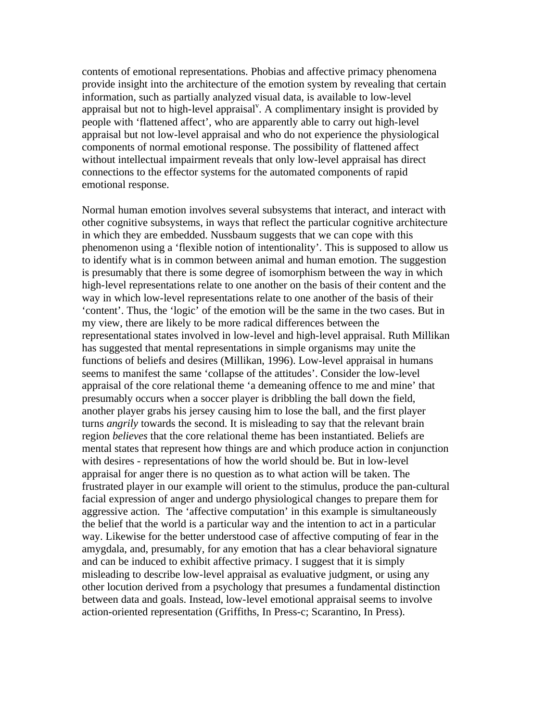contents of emotional representations. Phobias and affective primacy phenomena provide insight into the architecture of the emotion system by revealing that certain information, such as partially analyzed visual data, is available to low-level appraisal but not to high-level appraisal<sup>v</sup>. A complimentary insight is provided by people with 'flattened affect', who are apparently able to carry out high-level appraisal but not low-level appraisal and who do not experience the physiological components of normal emotional response. The possibility of flattened affect without intellectual impairment reveals that only low-level appraisal has direct connections to the effector systems for the automated components of rapid emotional response.

Normal human emotion involves several subsystems that interact, and interact with other cognitive subsystems, in ways that reflect the particular cognitive architecture in which they are embedded. Nussbaum suggests that we can cope with this phenomenon using a 'flexible notion of intentionality'. This is supposed to allow us to identify what is in common between animal and human emotion. The suggestion is presumably that there is some degree of isomorphism between the way in which high-level representations relate to one another on the basis of their content and the way in which low-level representations relate to one another of the basis of their 'content'. Thus, the 'logic' of the emotion will be the same in the two cases. But in my view, there are likely to be more radical differences between the representational states involved in low-level and high-level appraisal. Ruth Millikan has suggested that mental representations in simple organisms may unite the functions of beliefs and desires (Millikan, 1996). Low-level appraisal in humans seems to manifest the same 'collapse of the attitudes'. Consider the low-level appraisal of the core relational theme 'a demeaning offence to me and mine' that presumably occurs when a soccer player is dribbling the ball down the field, another player grabs his jersey causing him to lose the ball, and the first player turns *angrily* towards the second. It is misleading to say that the relevant brain region *believes* that the core relational theme has been instantiated. Beliefs are mental states that represent how things are and which produce action in conjunction with desires - representations of how the world should be. But in low-level appraisal for anger there is no question as to what action will be taken. The frustrated player in our example will orient to the stimulus, produce the pan-cultural facial expression of anger and undergo physiological changes to prepare them for aggressive action. The 'affective computation' in this example is simultaneously the belief that the world is a particular way and the intention to act in a particular way. Likewise for the better understood case of affective computing of fear in the amygdala, and, presumably, for any emotion that has a clear behavioral signature and can be induced to exhibit affective primacy. I suggest that it is simply misleading to describe low-level appraisal as evaluative judgment, or using any other locution derived from a psychology that presumes a fundamental distinction between data and goals. Instead, low-level emotional appraisal seems to involve action-oriented representation (Griffiths, In Press-c; Scarantino, In Press).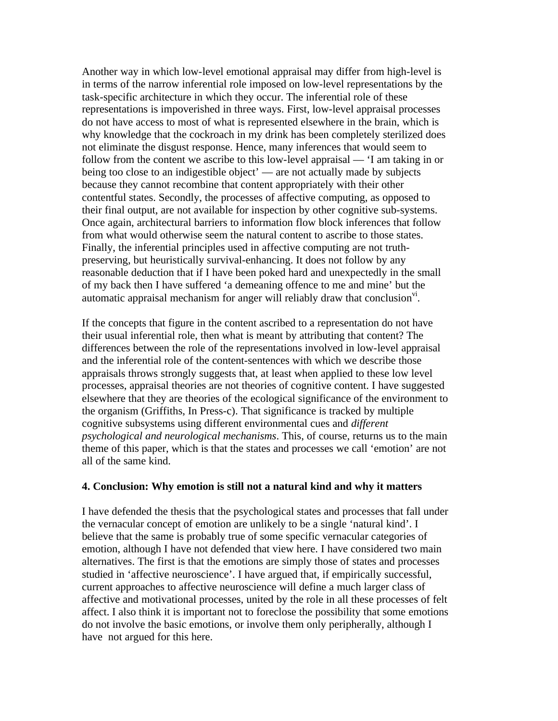Another way in which low-level emotional appraisal may differ from high-level is in terms of the narrow inferential role imposed on low-level representations by the task-specific architecture in which they occur. The inferential role of these representations is impoverished in three ways. First, low-level appraisal processes do not have access to most of what is represented elsewhere in the brain, which is why knowledge that the cockroach in my drink has been completely sterilized does not eliminate the disgust response. Hence, many inferences that would seem to follow from the content we ascribe to this low-level appraisal — 'I am taking in or being too close to an indigestible object' — are not actually made by subjects because they cannot recombine that content appropriately with their other contentful states. Secondly, the processes of affective computing, as opposed to their final output, are not available for inspection by other cognitive sub-systems. Once again, architectural barriers to information flow block inferences that follow from what would otherwise seem the natural content to ascribe to those states. Finally, the inferential principles used in affective computing are not truthpreserving, but heuristically survival-enhancing. It does not follow by any reasonable deduction that if I have been poked hard and unexpectedly in the small of my back then I have suffered 'a demeaning offence to me and mine' but the automatic appraisal mechanism for anger will reliably draw that conclusion $v^i$ .

If the concepts that figure in the content ascribed to a representation do not have their usual inferential role, then what is meant by attributing that content? The differences between the role of the representations involved in low-level appraisal and the inferential role of the content-sentences with which we describe those appraisals throws strongly suggests that, at least when applied to these low level processes, appraisal theories are not theories of cognitive content. I have suggested elsewhere that they are theories of the ecological significance of the environment to the organism (Griffiths, In Press-c). That significance is tracked by multiple cognitive subsystems using different environmental cues and *different psychological and neurological mechanisms*. This, of course, returns us to the main theme of this paper, which is that the states and processes we call 'emotion' are not all of the same kind.

## **4. Conclusion: Why emotion is still not a natural kind and why it matters**

I have defended the thesis that the psychological states and processes that fall under the vernacular concept of emotion are unlikely to be a single 'natural kind'. I believe that the same is probably true of some specific vernacular categories of emotion, although I have not defended that view here. I have considered two main alternatives. The first is that the emotions are simply those of states and processes studied in 'affective neuroscience'. I have argued that, if empirically successful, current approaches to affective neuroscience will define a much larger class of affective and motivational processes, united by the role in all these processes of felt affect. I also think it is important not to foreclose the possibility that some emotions do not involve the basic emotions, or involve them only peripherally, although I have not argued for this here.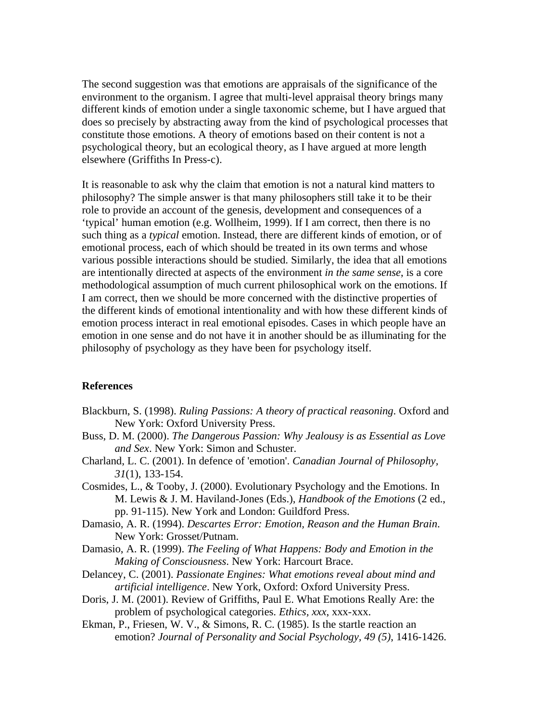The second suggestion was that emotions are appraisals of the significance of the environment to the organism. I agree that multi-level appraisal theory brings many different kinds of emotion under a single taxonomic scheme, but I have argued that does so precisely by abstracting away from the kind of psychological processes that constitute those emotions. A theory of emotions based on their content is not a psychological theory, but an ecological theory, as I have argued at more length elsewhere (Griffiths In Press-c).

It is reasonable to ask why the claim that emotion is not a natural kind matters to philosophy? The simple answer is that many philosophers still take it to be their role to provide an account of the genesis, development and consequences of a 'typical' human emotion (e.g. Wollheim, 1999). If I am correct, then there is no such thing as a *typical* emotion. Instead, there are different kinds of emotion, or of emotional process, each of which should be treated in its own terms and whose various possible interactions should be studied. Similarly, the idea that all emotions are intentionally directed at aspects of the environment *in the same sense*, is a core methodological assumption of much current philosophical work on the emotions. If I am correct, then we should be more concerned with the distinctive properties of the different kinds of emotional intentionality and with how these different kinds of emotion process interact in real emotional episodes. Cases in which people have an emotion in one sense and do not have it in another should be as illuminating for the philosophy of psychology as they have been for psychology itself.

#### **References**

- Blackburn, S. (1998). *Ruling Passions: A theory of practical reasoning*. Oxford and New York: Oxford University Press.
- Buss, D. M. (2000). *The Dangerous Passion: Why Jealousy is as Essential as Love and Sex*. New York: Simon and Schuster.
- Charland, L. C. (2001). In defence of 'emotion'. *Canadian Journal of Philosophy, 31*(1), 133-154.
- Cosmides, L., & Tooby, J. (2000). Evolutionary Psychology and the Emotions. In M. Lewis & J. M. Haviland-Jones (Eds.), *Handbook of the Emotions* (2 ed., pp. 91-115). New York and London: Guildford Press.
- Damasio, A. R. (1994). *Descartes Error: Emotion, Reason and the Human Brain*. New York: Grosset/Putnam.
- Damasio, A. R. (1999). *The Feeling of What Happens: Body and Emotion in the Making of Consciousness*. New York: Harcourt Brace.
- Delancey, C. (2001). *Passionate Engines: What emotions reveal about mind and artificial intelligence*. New York, Oxford: Oxford University Press.
- Doris, J. M. (2001). Review of Griffiths, Paul E. What Emotions Really Are: the problem of psychological categories. *Ethics, xxx*, xxx-xxx.
- Ekman, P., Friesen, W. V., & Simons, R. C. (1985). Is the startle reaction an emotion? *Journal of Personality and Social Psychology, 49 (5)*, 1416-1426.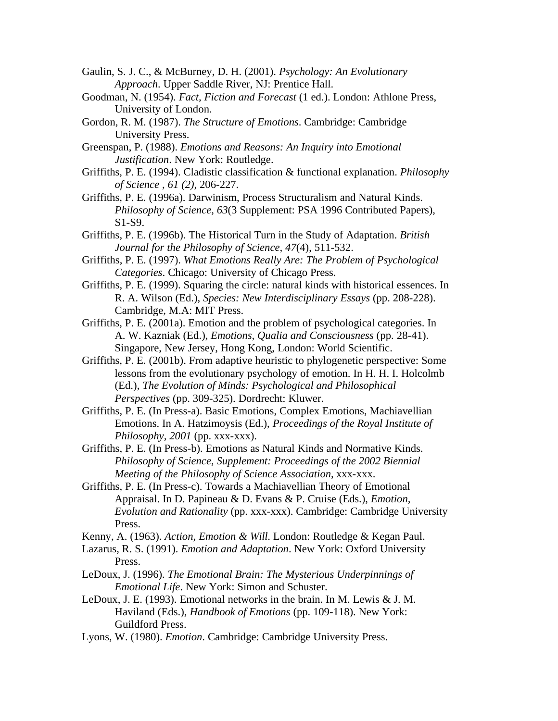Gaulin, S. J. C., & McBurney, D. H. (2001). *Psychology: An Evolutionary Approach*. Upper Saddle River, NJ: Prentice Hall.

Goodman, N. (1954). *Fact, Fiction and Forecast* (1 ed.). London: Athlone Press, University of London.

Gordon, R. M. (1987). *The Structure of Emotions*. Cambridge: Cambridge University Press.

Greenspan, P. (1988). *Emotions and Reasons: An Inquiry into Emotional Justification*. New York: Routledge.

Griffiths, P. E. (1994). Cladistic classification & functional explanation. *Philosophy of Science , 61 (2)*, 206-227.

Griffiths, P. E. (1996a). Darwinism, Process Structuralism and Natural Kinds. *Philosophy of Science, 63*(3 Supplement: PSA 1996 Contributed Papers), S1-S9.

Griffiths, P. E. (1996b). The Historical Turn in the Study of Adaptation. *British Journal for the Philosophy of Science, 47*(4), 511-532.

Griffiths, P. E. (1997). *What Emotions Really Are: The Problem of Psychological Categories*. Chicago: University of Chicago Press.

Griffiths, P. E. (1999). Squaring the circle: natural kinds with historical essences. In R. A. Wilson (Ed.), *Species: New Interdisciplinary Essays* (pp. 208-228). Cambridge, M.A: MIT Press.

Griffiths, P. E. (2001a). Emotion and the problem of psychological categories. In A. W. Kazniak (Ed.), *Emotions, Qualia and Consciousness* (pp. 28-41). Singapore, New Jersey, Hong Kong, London: World Scientific.

Griffiths, P. E. (2001b). From adaptive heuristic to phylogenetic perspective: Some lessons from the evolutionary psychology of emotion. In H. H. I. Holcolmb (Ed.), *The Evolution of Minds: Psychological and Philosophical Perspectives* (pp. 309-325). Dordrecht: Kluwer.

Griffiths, P. E. (In Press-a). Basic Emotions, Complex Emotions, Machiavellian Emotions. In A. Hatzimoysis (Ed.), *Proceedings of the Royal Institute of Philosophy, 2001* (pp. xxx-xxx).

Griffiths, P. E. (In Press-b). Emotions as Natural Kinds and Normative Kinds. *Philosophy of Science, Supplement: Proceedings of the 2002 Biennial Meeting of the Philosophy of Science Association*, xxx-xxx.

Griffiths, P. E. (In Press-c). Towards a Machiavellian Theory of Emotional Appraisal. In D. Papineau & D. Evans & P. Cruise (Eds.), *Emotion, Evolution and Rationality* (pp. xxx-xxx). Cambridge: Cambridge University Press.

Kenny, A. (1963). *Action, Emotion & Will*. London: Routledge & Kegan Paul.

Lazarus, R. S. (1991). *Emotion and Adaptation*. New York: Oxford University Press.

LeDoux, J. (1996). *The Emotional Brain: The Mysterious Underpinnings of Emotional Life*. New York: Simon and Schuster.

LeDoux, J. E. (1993). Emotional networks in the brain. In M. Lewis & J. M. Haviland (Eds.), *Handbook of Emotions* (pp. 109-118). New York: Guildford Press.

Lyons, W. (1980). *Emotion*. Cambridge: Cambridge University Press.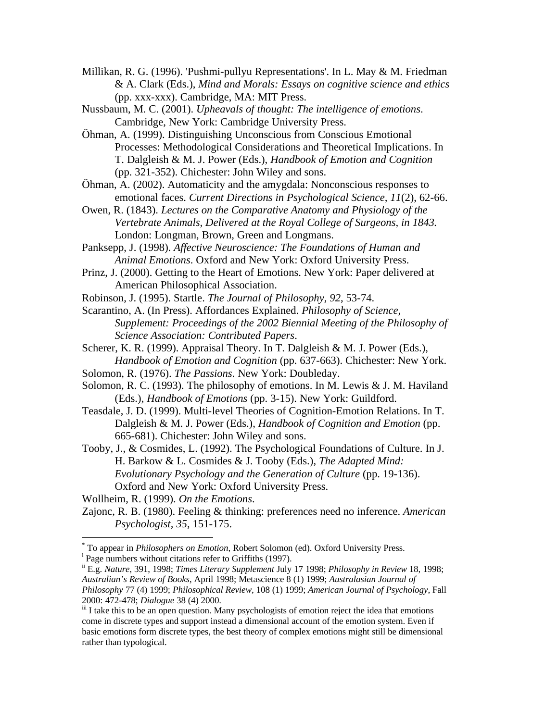Millikan, R. G. (1996). 'Pushmi-pullyu Representations'. In L. May & M. Friedman & A. Clark (Eds.), *Mind and Morals: Essays on cognitive science and ethics* (pp. xxx-xxx). Cambridge, MA: MIT Press.

Nussbaum, M. C. (2001). *Upheavals of thought: The intelligence of emotions*. Cambridge, New York: Cambridge University Press.

- Öhman, A. (1999). Distinguishing Unconscious from Conscious Emotional Processes: Methodological Considerations and Theoretical Implications. In T. Dalgleish & M. J. Power (Eds.), *Handbook of Emotion and Cognition* (pp. 321-352). Chichester: John Wiley and sons.
- Öhman, A. (2002). Automaticity and the amygdala: Nonconscious responses to emotional faces. *Current Directions in Psychological Science, 11*(2), 62-66.
- Owen, R. (1843). *Lectures on the Comparative Anatomy and Physiology of the Vertebrate Animals, Delivered at the Royal College of Surgeons, in 1843.* London: Longman, Brown, Green and Longmans.
- Panksepp, J. (1998). *Affective Neuroscience: The Foundations of Human and Animal Emotions*. Oxford and New York: Oxford University Press.
- Prinz, J. (2000). Getting to the Heart of Emotions. New York: Paper delivered at American Philosophical Association.
- Robinson, J. (1995). Startle. *The Journal of Philosophy, 92*, 53-74.
- Scarantino, A. (In Press). Affordances Explained. *Philosophy of Science, Supplement: Proceedings of the 2002 Biennial Meeting of the Philosophy of Science Association: Contributed Papers*.
- Scherer, K. R. (1999). Appraisal Theory. In T. Dalgleish & M. J. Power (Eds.), *Handbook of Emotion and Cognition* (pp. 637-663). Chichester: New York.
- Solomon, R. (1976). *The Passions*. New York: Doubleday.
- Solomon, R. C. (1993). The philosophy of emotions. In M. Lewis & J. M. Haviland (Eds.), *Handbook of Emotions* (pp. 3-15). New York: Guildford.
- Teasdale, J. D. (1999). Multi-level Theories of Cognition-Emotion Relations. In T. Dalgleish & M. J. Power (Eds.), *Handbook of Cognition and Emotion* (pp. 665-681). Chichester: John Wiley and sons.
- Tooby, J., & Cosmides, L. (1992). The Psychological Foundations of Culture. In J. H. Barkow & L. Cosmides & J. Tooby (Eds.), *The Adapted Mind: Evolutionary Psychology and the Generation of Culture* (pp. 19-136). Oxford and New York: Oxford University Press.

Wollheim, R. (1999). *On the Emotions*.

 $\overline{a}$ 

Zajonc, R. B. (1980). Feeling & thinking: preferences need no inference. *American Psychologist, 35*, 151-175.

<sup>\*</sup> To appear in *Philosophers on Emotion*, Robert Solomon (ed). Oxford University Press.

<sup>&</sup>lt;sup>i</sup> Page numbers without citations refer to Griffiths (1997).

ii E.g. *Nature*, 391, 1998; *Times Literary Supplement* July 17 1998; *Philosophy in Review* 18, 1998; *Australian's Review of Books*, April 1998; Metascience 8 (1) 1999; *Australasian Journal of Philosophy* 77 (4) 1999; *Philosophical Review*, 108 (1) 1999; *American Journal of Psychology*, Fall 2000: 472-478; *Dialogue* 38 (4) 2000.

iii I take this to be an open question. Many psychologists of emotion reject the idea that emotions come in discrete types and support instead a dimensional account of the emotion system. Even if basic emotions form discrete types, the best theory of complex emotions might still be dimensional rather than typological.